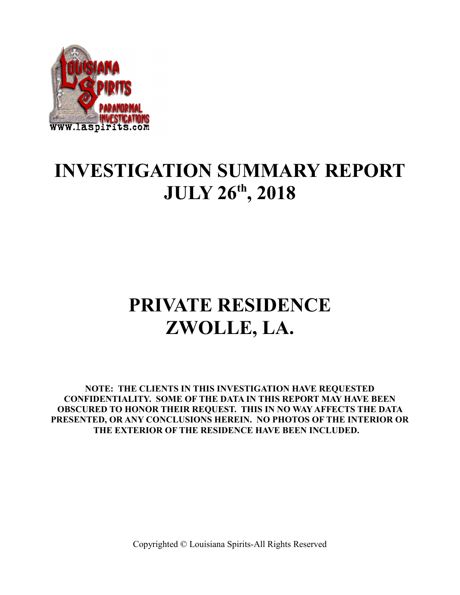

## **INVESTIGATION SUMMARY REPORT JULY 26th, 2018**

# **PRIVATE RESIDENCE ZWOLLE, LA.**

**NOTE: THE CLIENTS IN THIS INVESTIGATION HAVE REQUESTED CONFIDENTIALITY. SOME OF THE DATA IN THIS REPORT MAY HAVE BEEN OBSCURED TO HONOR THEIR REQUEST. THIS IN NO WAY AFFECTS THE DATA PRESENTED, OR ANY CONCLUSIONS HEREIN. NO PHOTOS OF THE INTERIOR OR THE EXTERIOR OF THE RESIDENCE HAVE BEEN INCLUDED.**

Copyrighted © Louisiana Spirits-All Rights Reserved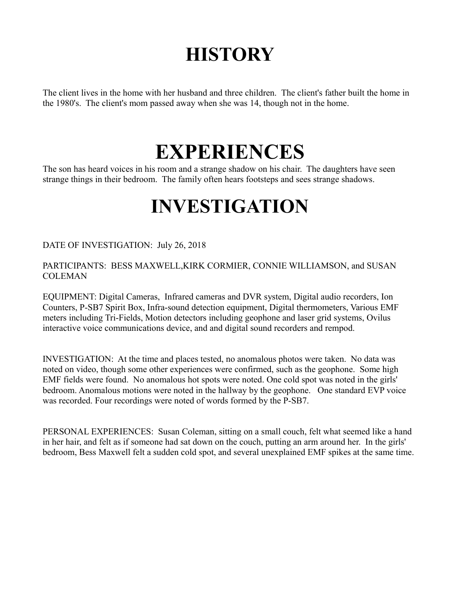# **HISTORY**

The client lives in the home with her husband and three children. The client's father built the home in the 1980's. The client's mom passed away when she was 14, though not in the home.

### **EXPERIENCES**

The son has heard voices in his room and a strange shadow on his chair. The daughters have seen strange things in their bedroom. The family often hears footsteps and sees strange shadows.

# **INVESTIGATION**

DATE OF INVESTIGATION: July 26, 2018

### PARTICIPANTS: BESS MAXWELL,KIRK CORMIER, CONNIE WILLIAMSON, and SUSAN COLEMAN

EQUIPMENT: Digital Cameras, Infrared cameras and DVR system, Digital audio recorders, Ion Counters, P-SB7 Spirit Box, Infra-sound detection equipment, Digital thermometers, Various EMF meters including Tri-Fields, Motion detectors including geophone and laser grid systems, Ovilus interactive voice communications device, and and digital sound recorders and rempod.

INVESTIGATION: At the time and places tested, no anomalous photos were taken. No data was noted on video, though some other experiences were confirmed, such as the geophone. Some high EMF fields were found. No anomalous hot spots were noted. One cold spot was noted in the girls' bedroom. Anomalous motions were noted in the hallway by the geophone. One standard EVP voice was recorded. Four recordings were noted of words formed by the P-SB7.

PERSONAL EXPERIENCES: Susan Coleman, sitting on a small couch, felt what seemed like a hand in her hair, and felt as if someone had sat down on the couch, putting an arm around her. In the girls' bedroom, Bess Maxwell felt a sudden cold spot, and several unexplained EMF spikes at the same time.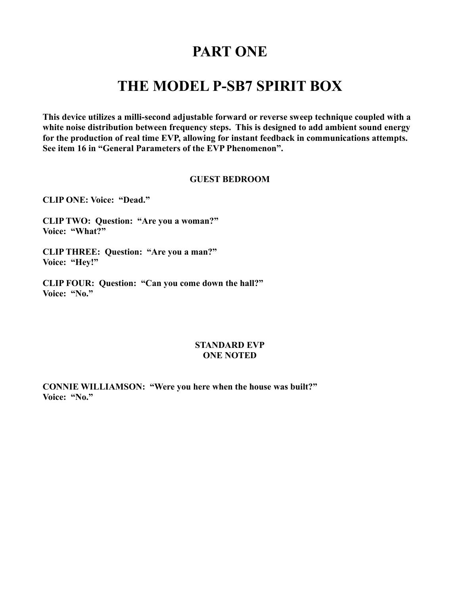### **PART ONE**

### **THE MODEL P-SB7 SPIRIT BOX**

**This device utilizes a milli-second adjustable forward or reverse sweep technique coupled with a white noise distribution between frequency steps. This is designed to add ambient sound energy for the production of real time EVP, allowing for instant feedback in communications attempts. See item 16 in "General Parameters of the EVP Phenomenon".** 

#### **GUEST BEDROOM**

**CLIP ONE: Voice: "Dead."**

**CLIP TWO: Question: "Are you a woman?" Voice: "What?"**

**CLIP THREE: Question: "Are you a man?" Voice: "Hey!"**

**CLIP FOUR: Question: "Can you come down the hall?" Voice: "No."**

#### **STANDARD EVP ONE NOTED**

**CONNIE WILLIAMSON: "Were you here when the house was built?" Voice: "No."**